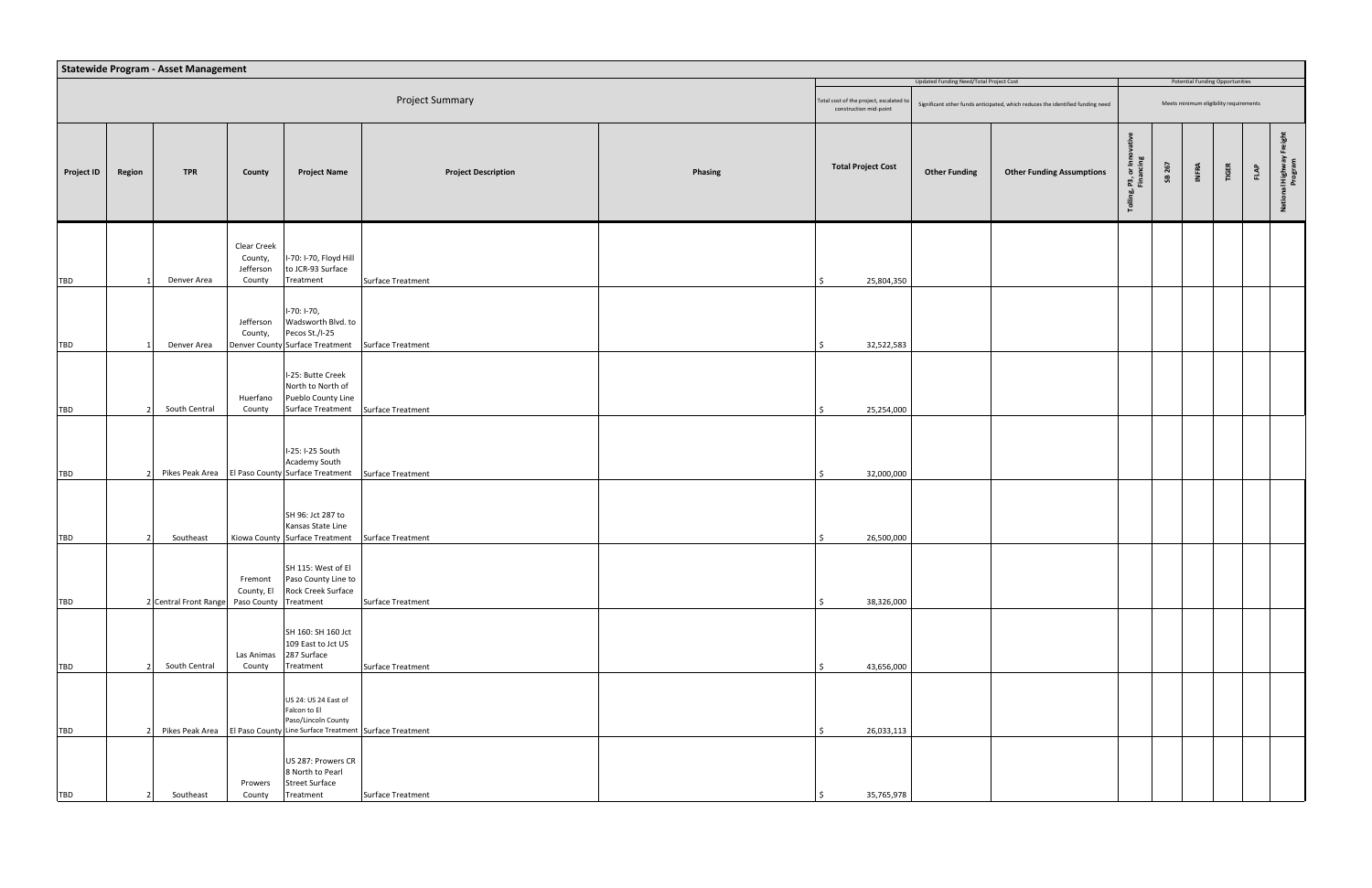|                   | <b>Statewide Program - Asset Management</b><br>Updated Funding Need/Total Project Cost<br><b>Potential Funding Opportunities</b> |                                             |                                               |                                                                                                                                          |                            |         |                                                                  |                      |                                                                                |                                        |        |                                        |       |      |                                        |
|-------------------|----------------------------------------------------------------------------------------------------------------------------------|---------------------------------------------|-----------------------------------------------|------------------------------------------------------------------------------------------------------------------------------------------|----------------------------|---------|------------------------------------------------------------------|----------------------|--------------------------------------------------------------------------------|----------------------------------------|--------|----------------------------------------|-------|------|----------------------------------------|
|                   |                                                                                                                                  |                                             |                                               |                                                                                                                                          |                            |         |                                                                  |                      |                                                                                |                                        |        |                                        |       |      |                                        |
|                   |                                                                                                                                  |                                             |                                               |                                                                                                                                          | <b>Project Summary</b>     |         | otal cost of the project, escalated to<br>construction mid-point |                      | Significant other funds anticipated, which reduces the identified funding need |                                        |        | Meets minimum eligibility requirements |       |      |                                        |
| <b>Project ID</b> | Region                                                                                                                           | <b>TPR</b>                                  | County                                        | <b>Project Name</b>                                                                                                                      | <b>Project Description</b> | Phasing | <b>Total Project Cost</b>                                        | <b>Other Funding</b> | <b>Other Funding Assumptions</b>                                               | , P3, or Inno<br>Financing<br>-bò<br>ᅙ | SB 267 | INFRA                                  | TIGER | FLAP | $\frac{1}{5}$<br>al Highway<br>Program |
| TBD               |                                                                                                                                  | Denver Area                                 | Clear Creek<br>County,<br>Jefferson<br>County | I-70: I-70, Floyd Hill<br>to JCR-93 Surface<br>Treatment                                                                                 | Surface Treatment          |         | 25,804,350                                                       |                      |                                                                                |                                        |        |                                        |       |      |                                        |
| <b>TBD</b>        |                                                                                                                                  | Denver Area                                 | Jefferson<br>County,                          | I-70: I-70,<br>Wadsworth Blvd. to<br>Pecos St./I-25<br>Denver County Surface Treatment                                                   | <b>Surface Treatment</b>   |         | 32,522,583                                                       |                      |                                                                                |                                        |        |                                        |       |      |                                        |
| TBD               |                                                                                                                                  | South Central                               | Huerfano<br>County                            | I-25: Butte Creek<br>North to North of<br>Pueblo County Line<br><b>Surface Treatment</b>                                                 | <b>Surface Treatment</b>   |         | 25,254,000                                                       |                      |                                                                                |                                        |        |                                        |       |      |                                        |
| TBD               |                                                                                                                                  |                                             |                                               | I-25: I-25 South<br>Academy South<br>Pikes Peak Area   El Paso County Surface Treatment                                                  | Surface Treatment          |         | 32,000,000                                                       |                      |                                                                                |                                        |        |                                        |       |      |                                        |
| TBD               |                                                                                                                                  | Southeast                                   |                                               | SH 96: Jct 287 to<br>Kansas State Line<br>Kiowa County Surface Treatment                                                                 | Surface Treatment          |         | 26,500,000                                                       |                      |                                                                                |                                        |        |                                        |       |      |                                        |
| TBD               |                                                                                                                                  | 2 Central Front Range Paso County Treatment | Fremont<br>County, El                         | SH 115: West of El<br>Paso County Line to<br>Rock Creek Surface                                                                          | Surface Treatment          |         | 38,326,000<br>Ś.                                                 |                      |                                                                                |                                        |        |                                        |       |      |                                        |
| TBD               |                                                                                                                                  | South Central                               | Las Animas<br>County                          | SH 160: SH 160 Jct<br>109 East to Jct US<br>287 Surface<br>Treatment                                                                     | <b>Surface Treatment</b>   |         | 43,656,000                                                       |                      |                                                                                |                                        |        |                                        |       |      |                                        |
| TBD               |                                                                                                                                  |                                             |                                               | US 24: US 24 East of<br>Falcon to El<br>Paso/Lincoln County<br>Pikes Peak Area   El Paso County Line Surface Treatment Surface Treatment |                            |         | 26,033,113                                                       |                      |                                                                                |                                        |        |                                        |       |      |                                        |
| <b>TBD</b>        |                                                                                                                                  | Southeast                                   | Prowers<br>County                             | US 287: Prowers CR<br>8 North to Pearl<br><b>Street Surface</b><br>Treatment                                                             | Surface Treatment          |         | 35,765,978                                                       |                      |                                                                                |                                        |        |                                        |       |      |                                        |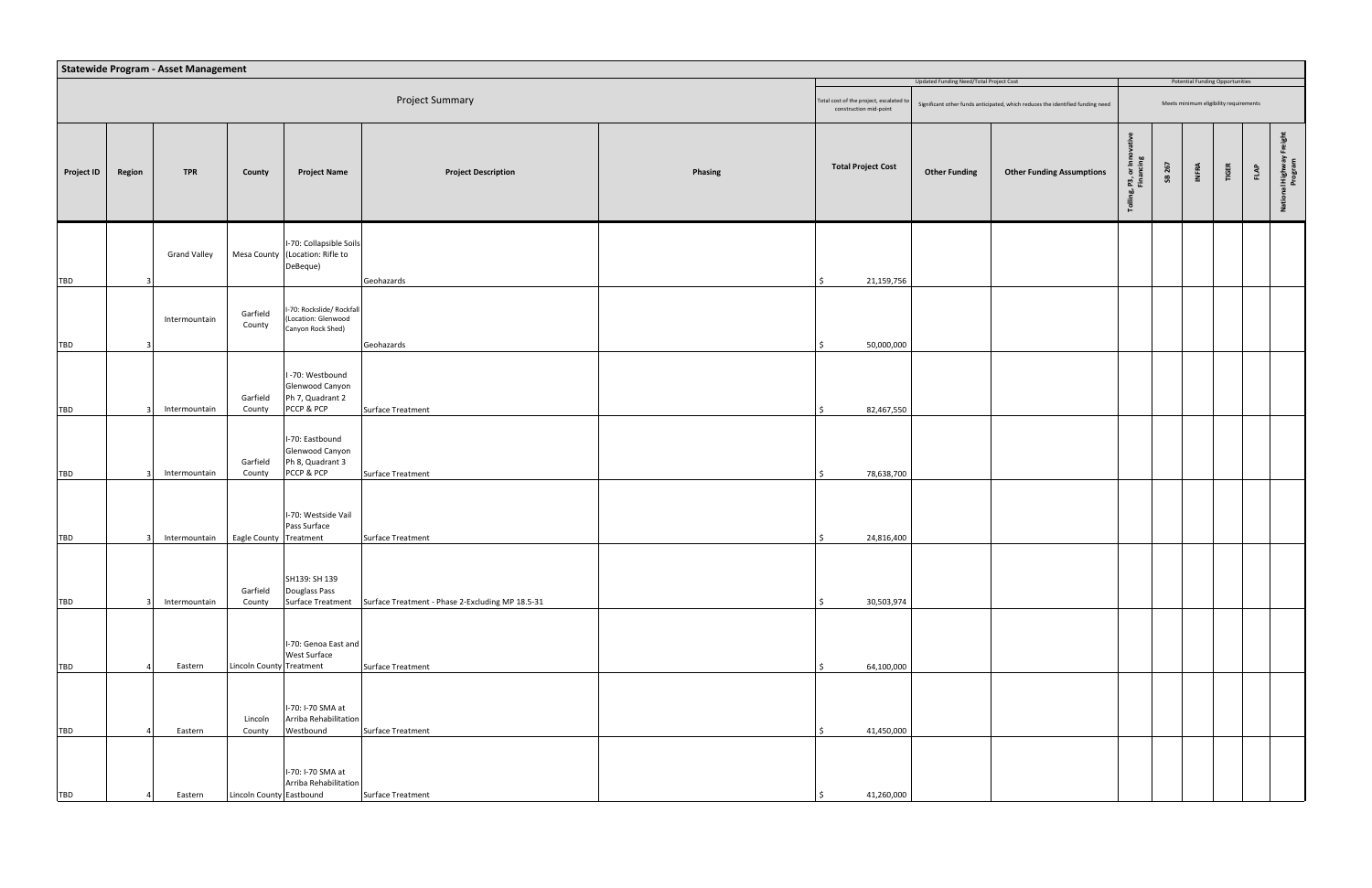|                   | <b>Statewide Program - Asset Management</b><br>Updated Funding Need/Total Project Cost<br><b>Potential Funding Opportunities</b> |                     |                          |                                                                                                            |                                                  |         |                                                                   |                      |                                                                                |                                        |        |              |                                        |             |                                     |
|-------------------|----------------------------------------------------------------------------------------------------------------------------------|---------------------|--------------------------|------------------------------------------------------------------------------------------------------------|--------------------------------------------------|---------|-------------------------------------------------------------------|----------------------|--------------------------------------------------------------------------------|----------------------------------------|--------|--------------|----------------------------------------|-------------|-------------------------------------|
|                   |                                                                                                                                  |                     |                          |                                                                                                            |                                                  |         |                                                                   |                      |                                                                                |                                        |        |              |                                        |             |                                     |
|                   |                                                                                                                                  |                     |                          |                                                                                                            | Project Summary                                  |         | Total cost of the project, escalated to<br>construction mid-point |                      | Significant other funds anticipated, which reduces the identified funding need |                                        |        |              | Meets minimum eligibility requirements |             |                                     |
| <b>Project ID</b> | Region                                                                                                                           | <b>TPR</b>          | County                   | <b>Project Name</b>                                                                                        | <b>Project Description</b>                       | Phasing | <b>Total Project Cost</b>                                         | <b>Other Funding</b> | <b>Other Funding Assumptions</b>                                               | , P3, or Inno<br>Financing<br>Tolling, | SB 267 | <b>INFRA</b> | TIGER                                  | <b>FLAP</b> | ight<br>National Highway<br>Program |
| <b>TBD</b>        |                                                                                                                                  | <b>Grand Valley</b> |                          | I-70: Collapsible Soils<br>Mesa County (Location: Rifle to<br>DeBeque)                                     | Geohazards                                       |         | 21,159,756                                                        |                      |                                                                                |                                        |        |              |                                        |             |                                     |
| <b>TBD</b>        |                                                                                                                                  | Intermountain       | Garfield<br>County       | I-70: Rockslide/ Rockfall<br>(Location: Glenwood<br>Canyon Rock Shed)                                      | Geohazards                                       |         | 50,000,000                                                        |                      |                                                                                |                                        |        |              |                                        |             |                                     |
| TBD               |                                                                                                                                  | Intermountain       | Garfield<br>County       | I-70: Westbound<br>Glenwood Canyon<br>Ph 7, Quadrant 2<br>PCCP & PCP<br>I-70: Eastbound<br>Glenwood Canyon | Surface Treatment                                |         | 82,467,550                                                        |                      |                                                                                |                                        |        |              |                                        |             |                                     |
| <b>TBD</b>        |                                                                                                                                  | Intermountain       | Garfield<br>County       | Ph 8, Quadrant 3<br>PCCP & PCP                                                                             | Surface Treatment                                |         | 78,638,700                                                        |                      |                                                                                |                                        |        |              |                                        |             |                                     |
| <b>TBD</b>        |                                                                                                                                  | Intermountain       | Eagle County Treatment   | I-70: Westside Vail<br>Pass Surface                                                                        | Surface Treatment                                |         | 24,816,400                                                        |                      |                                                                                |                                        |        |              |                                        |             |                                     |
| <b>TBD</b>        |                                                                                                                                  | Intermountain       | Garfield<br>County       | SH139: SH 139<br>Douglass Pass<br>Surface Treatment                                                        | Surface Treatment - Phase 2-Excluding MP 18.5-31 |         | 30,503,974                                                        |                      |                                                                                |                                        |        |              |                                        |             |                                     |
| TBD               |                                                                                                                                  | Eastern             | Lincoln County Treatment | I-70: Genoa East and<br>West Surface                                                                       | Surface Treatment                                |         | 64,100,000                                                        |                      |                                                                                |                                        |        |              |                                        |             |                                     |
| TBD               |                                                                                                                                  | Eastern             | Lincoln<br>County        | I-70: I-70 SMA at<br>Arriba Rehabilitation<br>Westbound                                                    | Surface Treatment                                |         | 41,450,000                                                        |                      |                                                                                |                                        |        |              |                                        |             |                                     |
| TBD               |                                                                                                                                  | Eastern             | Lincoln County Eastbound | I-70: I-70 SMA at<br>Arriba Rehabilitation                                                                 | Surface Treatment                                |         | 41,260,000                                                        |                      |                                                                                |                                        |        |              |                                        |             |                                     |
|                   |                                                                                                                                  |                     |                          |                                                                                                            |                                                  |         |                                                                   |                      |                                                                                |                                        |        |              |                                        |             |                                     |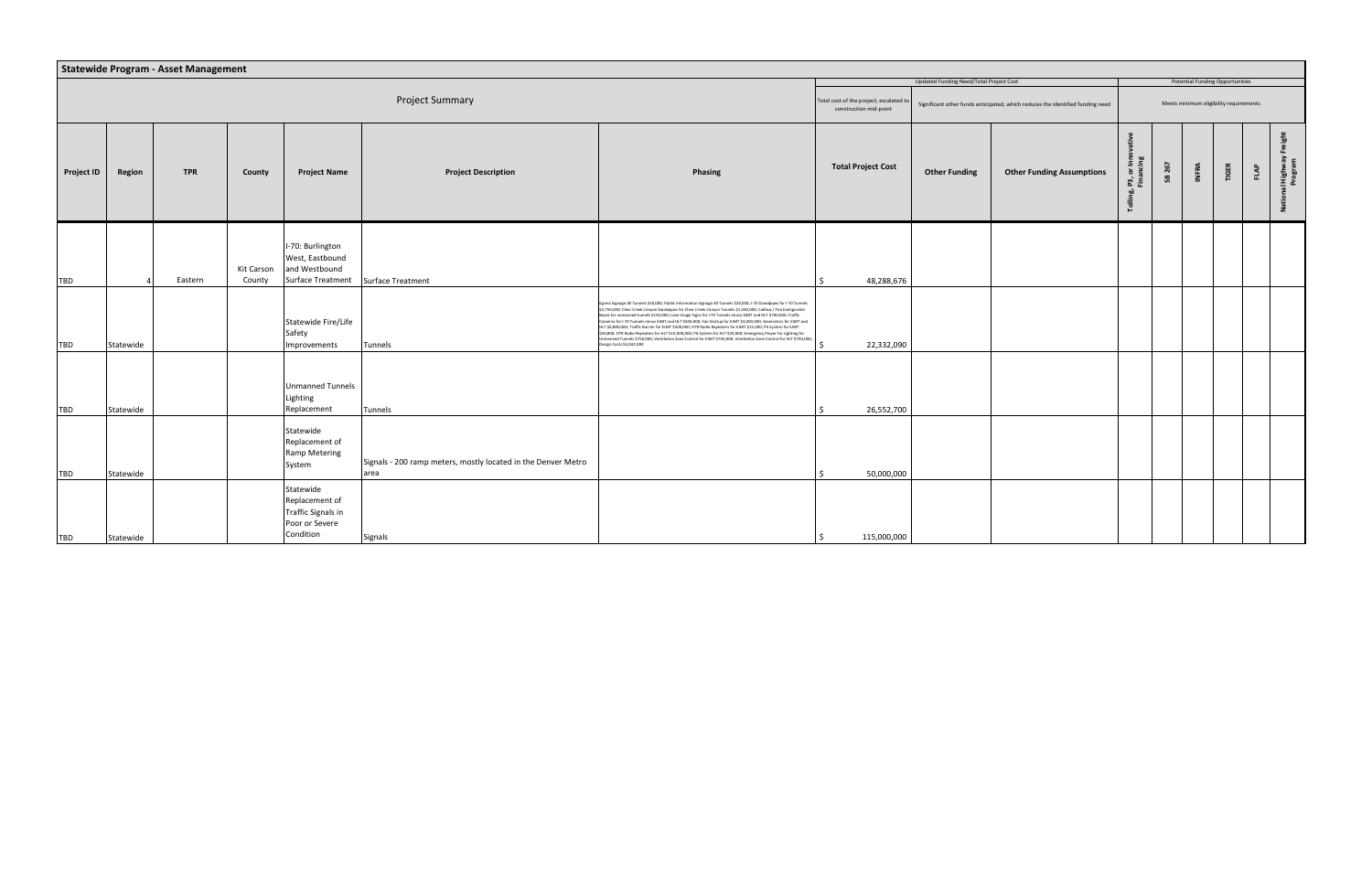|                   |                        | Statewide Program - Asset Management |                      |                                                                                             |                                                                       |                                                                                                                                                                                                                                                                                                                                                                                                                                                                                                                                                                                                                                                                                                                                                                                                                                                                            |                                                                   |                                         |                                                                                |                                       |        |           |                                        |                  |                               |
|-------------------|------------------------|--------------------------------------|----------------------|---------------------------------------------------------------------------------------------|-----------------------------------------------------------------------|----------------------------------------------------------------------------------------------------------------------------------------------------------------------------------------------------------------------------------------------------------------------------------------------------------------------------------------------------------------------------------------------------------------------------------------------------------------------------------------------------------------------------------------------------------------------------------------------------------------------------------------------------------------------------------------------------------------------------------------------------------------------------------------------------------------------------------------------------------------------------|-------------------------------------------------------------------|-----------------------------------------|--------------------------------------------------------------------------------|---------------------------------------|--------|-----------|----------------------------------------|------------------|-------------------------------|
|                   |                        |                                      |                      |                                                                                             |                                                                       |                                                                                                                                                                                                                                                                                                                                                                                                                                                                                                                                                                                                                                                                                                                                                                                                                                                                            |                                                                   | Updated Funding Need/Total Project Cost |                                                                                |                                       |        |           | <b>Potential Funding Opportunities</b> |                  |                               |
|                   | <b>Project Summary</b> |                                      |                      |                                                                                             |                                                                       |                                                                                                                                                                                                                                                                                                                                                                                                                                                                                                                                                                                                                                                                                                                                                                                                                                                                            | Total cost of the project, escalated to<br>construction mid-point |                                         | Significant other funds anticipated, which reduces the identified funding need |                                       |        |           | Meets minimum eligibility requirements |                  |                               |
| <b>Project ID</b> | Region                 | <b>TPR</b>                           | County               | <b>Project Name</b>                                                                         | <b>Project Description</b>                                            | <b>Phasing</b>                                                                                                                                                                                                                                                                                                                                                                                                                                                                                                                                                                                                                                                                                                                                                                                                                                                             | <b>Total Project Cost</b>                                         | <b>Other Funding</b>                    | <b>Other Funding Assumptions</b>                                               | ler<br>Dø<br>ិ គ្គី<br><u>នាំ ម</u> ិ | SB 267 | ង្គ<br>Ë. | TIGER                                  | $F^{\mathbf{p}}$ | National Highway I<br>Program |
| <b>TBD</b>        |                        | Eastern                              | Kit Carson<br>County | I-70: Burlington<br>West, Eastbound<br>and Westbound<br>Surface Treatment Surface Treatment |                                                                       |                                                                                                                                                                                                                                                                                                                                                                                                                                                                                                                                                                                                                                                                                                                                                                                                                                                                            | 48,288,676                                                        |                                         |                                                                                |                                       |        |           |                                        |                  |                               |
| <b>TBD</b>        | Statewide              |                                      |                      | Statewide Fire/Life<br>Safety<br>Improvements                                               | Tunnels                                                               | Egress Signage All Tunnels \$50,000; Public Information Signage All Tunnels \$20,000; I-70 Standpipes for I-70 Tunnels<br>\$2,750,000; Clear Creek Canyon Standpipes for Clear Creek Canyon Tunnels \$1,500,000; Callbox / Fire Extinguisher<br>Boxes for unmanned tunnels \$150,000; Lane Usage Signs for I-70 Tunnels minus EJMT and HLT \$700,000; Traffic<br>Cameras for I-70 Tunnels minus EJMT and HLT \$500,000; Fan Startup for EJMT \$3,000,000; Generators for EJMT and<br>ILT \$6,800,000; Traffic Barrier for EJMT \$500,000; DTR Radio Repeaters for EJMT \$15,000; PA System for EJMT<br>\$20,000; DTR Radio Repeaters for HLT \$15,000,000; PA System for HLT \$20,000; Emergency Power for Lighting for<br>Inmanned Tunnels \$750,000; Ventilation Zone Control for EJMT \$750,000; Ventilation Zone Control for HLT \$750,000;<br>esign Costs \$4,042,090 | 22,332,090                                                        |                                         |                                                                                |                                       |        |           |                                        |                  |                               |
| <b>TBD</b>        | Statewide              |                                      |                      | <b>Unmanned Tunnels</b><br>Lighting<br>Replacement                                          | Tunnels                                                               |                                                                                                                                                                                                                                                                                                                                                                                                                                                                                                                                                                                                                                                                                                                                                                                                                                                                            | 26,552,700                                                        |                                         |                                                                                |                                       |        |           |                                        |                  |                               |
| <b>TBD</b>        | Statewide              |                                      |                      | Statewide<br>Replacement of<br>Ramp Metering<br>System                                      | Signals - 200 ramp meters, mostly located in the Denver Metro<br>area |                                                                                                                                                                                                                                                                                                                                                                                                                                                                                                                                                                                                                                                                                                                                                                                                                                                                            | 50,000,000                                                        |                                         |                                                                                |                                       |        |           |                                        |                  |                               |
| TBD               | Statewide              |                                      |                      | Statewide<br>Replacement of<br><b>Traffic Signals in</b><br>Poor or Severe<br>Condition     | Signals                                                               |                                                                                                                                                                                                                                                                                                                                                                                                                                                                                                                                                                                                                                                                                                                                                                                                                                                                            | 115,000,000                                                       |                                         |                                                                                |                                       |        |           |                                        |                  |                               |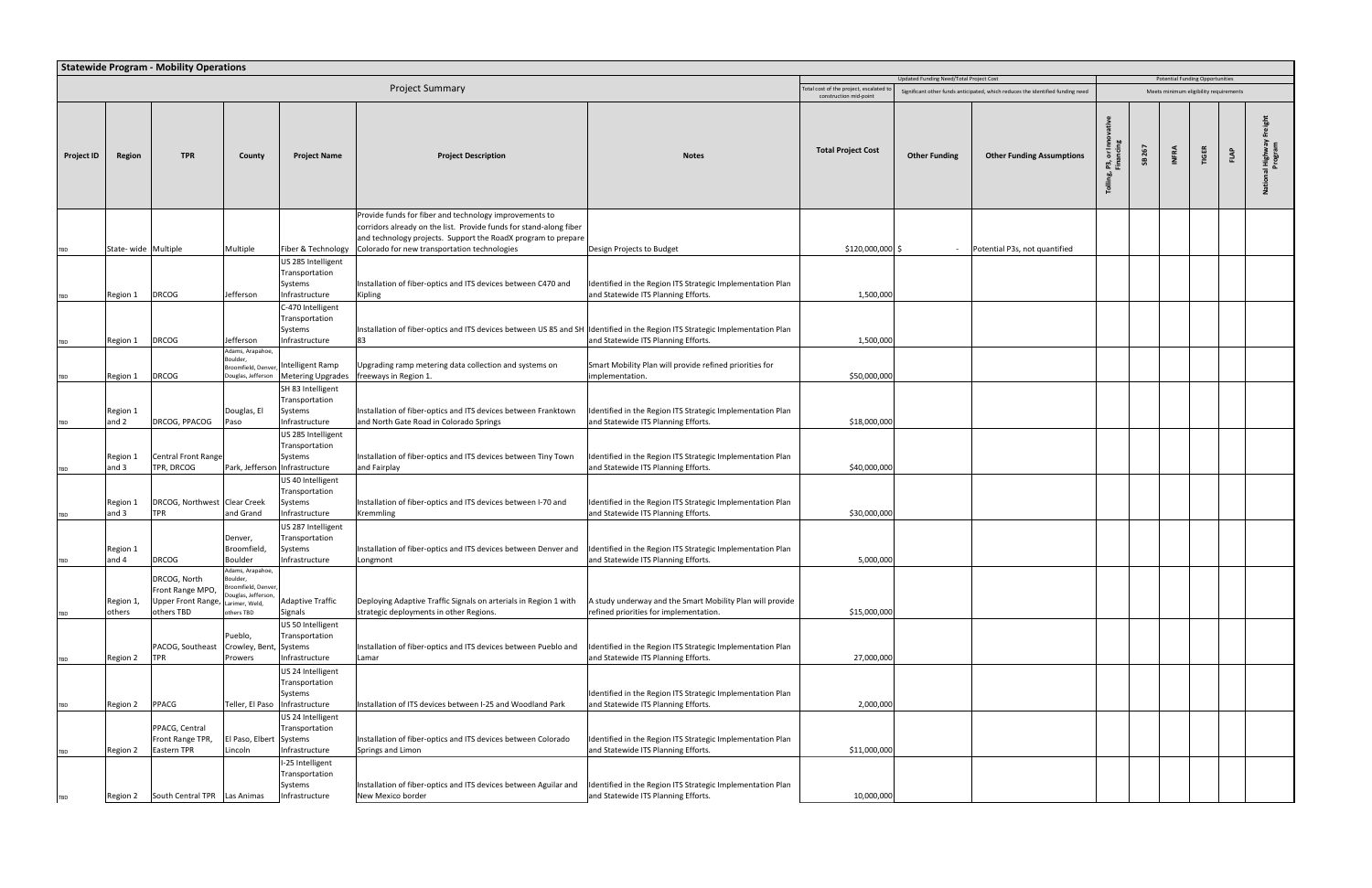|                   | <b>Statewide Program - Mobility Operations</b><br>Updated Funding Need/Total Project Cost<br><b>Potential Funding Opportunities</b><br><b>Project Summary</b><br>otal cost of the project, escalated to<br>Significant other funds anticipated, which reduces the identified funding need<br>Meets minimum eligibility requirements |                                                                      |                                                                                                          |                                                                          |                                                                                                                                                                                                                                               |                                                                                                     |                           |                      |                                  |         |          |              |       |      |                     |
|-------------------|-------------------------------------------------------------------------------------------------------------------------------------------------------------------------------------------------------------------------------------------------------------------------------------------------------------------------------------|----------------------------------------------------------------------|----------------------------------------------------------------------------------------------------------|--------------------------------------------------------------------------|-----------------------------------------------------------------------------------------------------------------------------------------------------------------------------------------------------------------------------------------------|-----------------------------------------------------------------------------------------------------|---------------------------|----------------------|----------------------------------|---------|----------|--------------|-------|------|---------------------|
|                   |                                                                                                                                                                                                                                                                                                                                     |                                                                      |                                                                                                          |                                                                          |                                                                                                                                                                                                                                               |                                                                                                     |                           |                      |                                  |         |          |              |       |      |                     |
|                   |                                                                                                                                                                                                                                                                                                                                     |                                                                      |                                                                                                          |                                                                          |                                                                                                                                                                                                                                               |                                                                                                     | construction mid-point    |                      |                                  |         |          |              |       |      |                     |
| <b>Project ID</b> | <b>Region</b>                                                                                                                                                                                                                                                                                                                       | <b>TPR</b>                                                           | County                                                                                                   | <b>Project Name</b>                                                      | <b>Project Description</b>                                                                                                                                                                                                                    | <b>Notes</b>                                                                                        | <b>Total Project Cost</b> | <b>Other Funding</b> | <b>Other Funding Assumptions</b> | ট<br>ឨឨ | 267<br>æ | <b>INFRA</b> | TIGER | FLAP | I Highwa<br>Program |
|                   | State-wide Multiple                                                                                                                                                                                                                                                                                                                 |                                                                      | Multiple                                                                                                 | Fiber & Technology                                                       | Provide funds for fiber and technology improvements to<br>corridors already on the list. Provide funds for stand-along fiber<br>and technology projects. Support the RoadX program to prepare<br>Colorado for new transportation technologies | Design Projects to Budget                                                                           | \$120,000,000 \$          | $\sim$               | Potential P3s, not quantified    |         |          |              |       |      |                     |
|                   | Region 1                                                                                                                                                                                                                                                                                                                            | <b>DRCOG</b>                                                         | Jefferson                                                                                                | US 285 Intelligent<br>Transportation<br>Systems<br>Infrastructure        | Installation of fiber-optics and ITS devices between C470 and<br>Kipling                                                                                                                                                                      | Identified in the Region ITS Strategic Implementation Plan<br>and Statewide ITS Planning Efforts.   | 1,500,000                 |                      |                                  |         |          |              |       |      |                     |
|                   | Region 1                                                                                                                                                                                                                                                                                                                            | <b>DRCOG</b>                                                         | Jefferson                                                                                                | C-470 Intelligent<br>Transportation<br>Systems<br>Infrastructure         | Installation of fiber-optics and ITS devices between US 85 and SH Identified in the Region ITS Strategic Implementation Plan<br>83                                                                                                            | and Statewide ITS Planning Efforts.                                                                 | 1,500,000                 |                      |                                  |         |          |              |       |      |                     |
|                   | Region 1                                                                                                                                                                                                                                                                                                                            | <b>DRCOG</b>                                                         | Adams, Arapahoe,<br>Boulder,<br>Broomfield, Denver,<br>Douglas, Jefferson                                | Intelligent Ramp<br><b>Metering Upgrades</b>                             | Jpgrading ramp metering data collection and systems on<br>freeways in Region 1.                                                                                                                                                               | Smart Mobility Plan will provide refined priorities for<br>implementation.                          | \$50,000,000              |                      |                                  |         |          |              |       |      |                     |
|                   | Region 1<br>and 2                                                                                                                                                                                                                                                                                                                   | DRCOG, PPACOG                                                        | Douglas, El<br>Paso                                                                                      | SH 83 Intelligent<br>Transportation<br>Systems<br>Infrastructure         | Installation of fiber-optics and ITS devices between Franktown<br>and North Gate Road in Colorado Springs                                                                                                                                     | Identified in the Region ITS Strategic Implementation Plan<br>and Statewide ITS Planning Efforts.   | \$18,000,000              |                      |                                  |         |          |              |       |      |                     |
|                   | Region 1<br>and 3                                                                                                                                                                                                                                                                                                                   | <b>Central Front Range</b><br>TPR, DRCOG                             | Park, Jefferson Infrastructure                                                                           | US 285 Intelligent<br>Transportation<br>Systems                          | Installation of fiber-optics and ITS devices between Tiny Town<br>and Fairplay                                                                                                                                                                | Identified in the Region ITS Strategic Implementation Plan<br>and Statewide ITS Planning Efforts.   | \$40,000,000              |                      |                                  |         |          |              |       |      |                     |
| TBD               | Region 1<br>and 3                                                                                                                                                                                                                                                                                                                   | DRCOG, Northwest Clear Creek<br><b>TPR</b>                           | and Grand                                                                                                | US 40 Intelligent<br>Transportation<br>Systems<br>Infrastructure         | Installation of fiber-optics and ITS devices between I-70 and<br>Kremmling                                                                                                                                                                    | Identified in the Region ITS Strategic Implementation Plan<br>and Statewide ITS Planning Efforts.   | \$30,000,000              |                      |                                  |         |          |              |       |      |                     |
|                   | Region 1<br>and 4                                                                                                                                                                                                                                                                                                                   | <b>DRCOG</b>                                                         | Denver,<br>Broomfield,<br>Boulder                                                                        | US 287 Intelligent<br><b>Transportation</b><br>Systems<br>Infrastructure | Installation of fiber-optics and ITS devices between Denver and<br>Longmont                                                                                                                                                                   | Identified in the Region ITS Strategic Implementation Plan<br>and Statewide ITS Planning Efforts.   | 5,000,000                 |                      |                                  |         |          |              |       |      |                     |
|                   | Region 1,<br>others                                                                                                                                                                                                                                                                                                                 | DRCOG, North<br>Front Range MPO,<br>Upper Front Range,<br>others TBD | Adams, Arapahoe,<br>Boulder,<br>roomfield, Denver,<br>Douglas, Jefferson,<br>arimer, Weld,<br>others TBD | <b>Adaptive Traffic</b><br>Signals                                       | Deploying Adaptive Traffic Signals on arterials in Region 1 with<br>strategic deployments in other Regions.                                                                                                                                   | A study underway and the Smart Mobility Plan will provide<br>refined priorities for implementation. | \$15,000,000              |                      |                                  |         |          |              |       |      |                     |
|                   | Region 2                                                                                                                                                                                                                                                                                                                            | PACOG, Southeast<br><b>TPR</b>                                       | Pueblo,<br>Crowley, Bent,<br>Prowers                                                                     | US 50 Intelligent<br>Transportation<br>Systems<br>Infrastructure         | Installation of fiber-optics and ITS devices between Pueblo and<br>Lamar                                                                                                                                                                      | Identified in the Region ITS Strategic Implementation Plan<br>and Statewide ITS Planning Efforts.   | 27,000,000                |                      |                                  |         |          |              |       |      |                     |
|                   | Region 2                                                                                                                                                                                                                                                                                                                            | <b>PPACG</b>                                                         | Teller, El Paso   Infrastructure                                                                         | US 24 Intelligent<br>Transportation<br>Systems                           | nstallation of ITS devices between I-25 and Woodland Park                                                                                                                                                                                     | Identified in the Region ITS Strategic Implementation Plan<br>and Statewide ITS Planning Efforts.   | 2,000,000                 |                      |                                  |         |          |              |       |      |                     |
|                   |                                                                                                                                                                                                                                                                                                                                     | PPACG, Central<br>Front Range TPR,<br><b>Eastern TPR</b>             | El Paso, Elbert<br>Lincoln                                                                               | US 24 Intelligent<br>Transportation<br>Systems<br>Infrastructure         | Installation of fiber-optics and ITS devices between Colorado<br>Springs and Limon                                                                                                                                                            | Identified in the Region ITS Strategic Implementation Plan<br>and Statewide ITS Planning Efforts.   | \$11,000,000              |                      |                                  |         |          |              |       |      |                     |
| TBD               | Region 2<br>Region 2                                                                                                                                                                                                                                                                                                                | South Central TPR                                                    | Las Animas                                                                                               | I-25 Intelligent<br>Transportation<br>Systems<br>Infrastructure          | Installation of fiber-optics and ITS devices between Aguilar and<br>New Mexico border                                                                                                                                                         | Identified in the Region ITS Strategic Implementation Plan<br>and Statewide ITS Planning Efforts.   | 10,000,000                |                      |                                  |         |          |              |       |      |                     |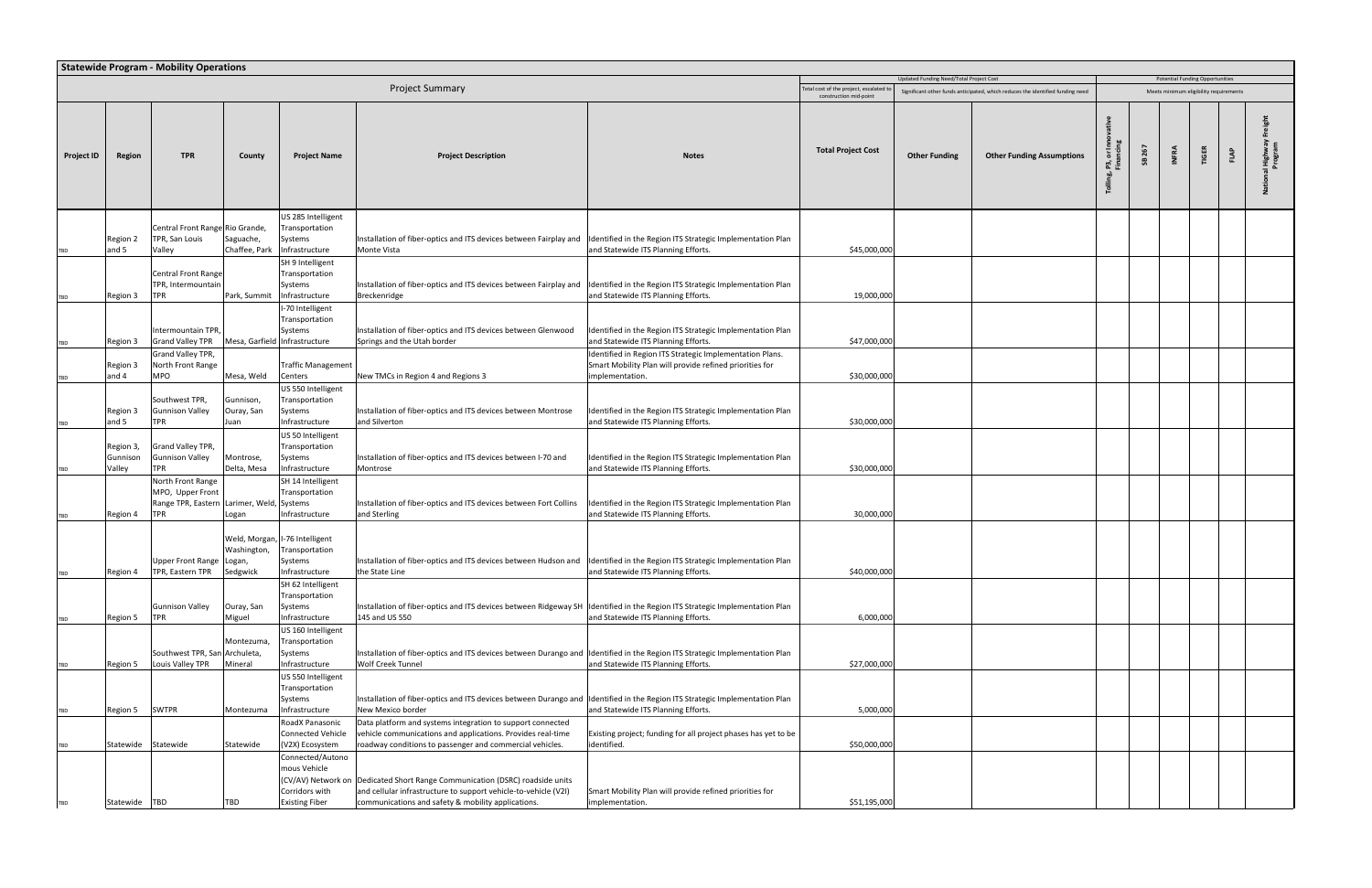|                   | <b>Statewide Program - Mobility Operations</b><br>Updated Funding Need/Total Project Cost<br><b>Potential Funding Opportunities</b><br><b>Project Summary</b><br>otal cost of the project, escalated to<br>Significant other funds anticipated, which reduces the identified funding need<br>Meets minimum eligibility requirements |                                                                                          |                                 |                                                                                         |                                                                                                                                                                                       |                                                                                                                                        |                           |                      |                                  |         |          |              |              |      |                     |
|-------------------|-------------------------------------------------------------------------------------------------------------------------------------------------------------------------------------------------------------------------------------------------------------------------------------------------------------------------------------|------------------------------------------------------------------------------------------|---------------------------------|-----------------------------------------------------------------------------------------|---------------------------------------------------------------------------------------------------------------------------------------------------------------------------------------|----------------------------------------------------------------------------------------------------------------------------------------|---------------------------|----------------------|----------------------------------|---------|----------|--------------|--------------|------|---------------------|
|                   |                                                                                                                                                                                                                                                                                                                                     |                                                                                          |                                 |                                                                                         |                                                                                                                                                                                       |                                                                                                                                        |                           |                      |                                  |         |          |              |              |      |                     |
|                   |                                                                                                                                                                                                                                                                                                                                     |                                                                                          |                                 |                                                                                         |                                                                                                                                                                                       |                                                                                                                                        | construction mid-point    |                      |                                  |         |          |              |              |      |                     |
| <b>Project ID</b> | Region                                                                                                                                                                                                                                                                                                                              | <b>TPR</b>                                                                               | County                          | <b>Project Name</b>                                                                     | <b>Project Description</b>                                                                                                                                                            | <b>Notes</b>                                                                                                                           | <b>Total Project Cost</b> | <b>Other Funding</b> | <b>Other Funding Assumptions</b> | ŏ<br>ឨឨ | 267<br>æ | <b>INFRA</b> | <b>TIGER</b> | FLAP | l Highwa<br>Program |
|                   | Region 2<br>and 5                                                                                                                                                                                                                                                                                                                   | Central Front Range Rio Grande,<br>TPR, San Louis<br>Valley                              | Saguache,<br>Chaffee, Park      | US 285 Intelligent<br>Transportation<br>Systems<br>Infrastructure                       | Installation of fiber-optics and ITS devices between Fairplay and<br>Monte Vista                                                                                                      | Identified in the Region ITS Strategic Implementation Plan<br>and Statewide ITS Planning Efforts.                                      | \$45,000,000              |                      |                                  |         |          |              |              |      |                     |
|                   | Region 3                                                                                                                                                                                                                                                                                                                            | <b>Central Front Range</b><br>TPR, Intermountain<br><b>TPR</b>                           | Park, Summit                    | SH 9 Intelligent<br>Transportation<br>Systems<br>Infrastructure                         | Installation of fiber-optics and ITS devices between Fairplay and<br>Breckenridge                                                                                                     | Identified in the Region ITS Strategic Implementation Plan<br>and Statewide ITS Planning Efforts.                                      | 19,000,000                |                      |                                  |         |          |              |              |      |                     |
|                   | Region 3                                                                                                                                                                                                                                                                                                                            | Intermountain TPR,<br><b>Grand Valley TPR</b>                                            | Mesa, Garfield Infrastructure   | I-70 Intelligent<br>Transportation<br>Systems                                           | Installation of fiber-optics and ITS devices between Glenwood<br>Springs and the Utah border                                                                                          | Identified in the Region ITS Strategic Implementation Plan<br>and Statewide ITS Planning Efforts.                                      | \$47,000,000              |                      |                                  |         |          |              |              |      |                     |
|                   | Region 3<br>and 4                                                                                                                                                                                                                                                                                                                   | Grand Valley TPR,<br>North Front Range<br><b>MPO</b>                                     | Mesa, Weld                      | <b>Traffic Management</b><br>Centers                                                    | New TMCs in Region 4 and Regions 3                                                                                                                                                    | Identified in Region ITS Strategic Implementation Plans.<br>Smart Mobility Plan will provide refined priorities for<br>implementation. | \$30,000,000              |                      |                                  |         |          |              |              |      |                     |
|                   | Region 3<br>and 5                                                                                                                                                                                                                                                                                                                   | Southwest TPR,<br><b>Gunnison Valley</b><br><b>TPR</b>                                   | Gunnison,<br>Ouray, San<br>Juan | US 550 Intelligent<br>Transportation<br>Systems<br>Infrastructure                       | Installation of fiber-optics and ITS devices between Montrose<br>and Silverton                                                                                                        | Identified in the Region ITS Strategic Implementation Plan<br>and Statewide ITS Planning Efforts.                                      | \$30,000,000              |                      |                                  |         |          |              |              |      |                     |
|                   | Region 3,<br>Gunnison<br>Valley                                                                                                                                                                                                                                                                                                     | Grand Valley TPR,<br><b>Gunnison Valley</b><br><b>TPR</b>                                | Montrose,<br>Delta, Mesa        | US 50 Intelligent<br>Transportation<br>Systems<br>Infrastructure                        | Installation of fiber-optics and ITS devices between I-70 and<br>Montrose                                                                                                             | Identified in the Region ITS Strategic Implementation Plan<br>and Statewide ITS Planning Efforts.                                      | \$30,000,000              |                      |                                  |         |          |              |              |      |                     |
| TBD               | Region 4                                                                                                                                                                                                                                                                                                                            | North Front Range<br>MPO, Upper Front<br>Range TPR, Eastern Larimer, Weld,<br><b>TPR</b> | Logan                           | SH 14 Intelligent<br>Transportation<br>Systems<br>Infrastructure                        | Installation of fiber-optics and ITS devices between Fort Collins<br>and Sterling                                                                                                     | Identified in the Region ITS Strategic Implementation Plan<br>and Statewide ITS Planning Efforts.                                      | 30,000,000                |                      |                                  |         |          |              |              |      |                     |
|                   | Region 4                                                                                                                                                                                                                                                                                                                            | Upper Front Range Logan,<br>TPR, Eastern TPR                                             | Washington,<br>Sedgwick         | Weld, Morgan, I-76 Intelligent<br>Transportation<br>Systems<br>Infrastructure           | Installation of fiber-optics and ITS devices between Hudson and  Identified in the Region ITS Strategic Implementation Plan<br>the State Line                                         | and Statewide ITS Planning Efforts.                                                                                                    | \$40,000,000              |                      |                                  |         |          |              |              |      |                     |
|                   | Region 5                                                                                                                                                                                                                                                                                                                            | <b>Gunnison Valley</b><br><b>TPR</b>                                                     | Ouray, San<br>Miguel            | SH 62 Intelligent<br>Transportation<br>Systems<br>Infrastructure                        | Installation of fiber-optics and ITS devices between Ridgeway SH Identified in the Region ITS Strategic Implementation Plan<br>145 and US 550                                         | and Statewide ITS Planning Efforts.                                                                                                    | 6,000,000                 |                      |                                  |         |          |              |              |      |                     |
|                   | Region 5                                                                                                                                                                                                                                                                                                                            | Southwest TPR, San Archuleta,<br>Louis Valley TPR                                        | Montezuma<br>Mineral            | US 160 Intelligent<br>Transportation<br>Systems<br>Infrastructure<br>US 550 Intelligent | Installation of fiber-optics and ITS devices between Durango and Identified in the Region ITS Strategic Implementation Plan<br>Wolf Creek Tunnel                                      | and Statewide ITS Planning Efforts.                                                                                                    | \$27,000,000              |                      |                                  |         |          |              |              |      |                     |
| TBD               | Region 5                                                                                                                                                                                                                                                                                                                            | <b>SWTPR</b>                                                                             | Montezuma                       | Transportation<br>Systems<br>Infrastructure                                             | Installation of fiber-optics and ITS devices between Durango and Identified in the Region ITS Strategic Implementation Plan<br>New Mexico border                                      | and Statewide ITS Planning Efforts.                                                                                                    | 5,000,000                 |                      |                                  |         |          |              |              |      |                     |
|                   |                                                                                                                                                                                                                                                                                                                                     | Statewide Statewide                                                                      | Statewide                       | RoadX Panasonic<br><b>Connected Vehicle</b><br>(V2X) Ecosystem                          | Data platform and systems integration to support connected<br>vehicle communications and applications. Provides real-time<br>roadway conditions to passenger and commercial vehicles. | Existing project; funding for all project phases has yet to be<br>identified.                                                          | \$50,000,000              |                      |                                  |         |          |              |              |      |                     |
|                   |                                                                                                                                                                                                                                                                                                                                     |                                                                                          |                                 | Connected/Autono<br>mous Vehicle<br>(CV/AV) Network on<br>Corridors with                | Dedicated Short Range Communication (DSRC) roadside units<br>and cellular infrastructure to support vehicle-to-vehicle (V2I)                                                          | Smart Mobility Plan will provide refined priorities for                                                                                |                           |                      |                                  |         |          |              |              |      |                     |
| TBD               | Statewide TBD                                                                                                                                                                                                                                                                                                                       |                                                                                          | TBD                             | <b>Existing Fiber</b>                                                                   | communications and safety & mobility applications.                                                                                                                                    | implementation.                                                                                                                        | \$51,195,000              |                      |                                  |         |          |              |              |      |                     |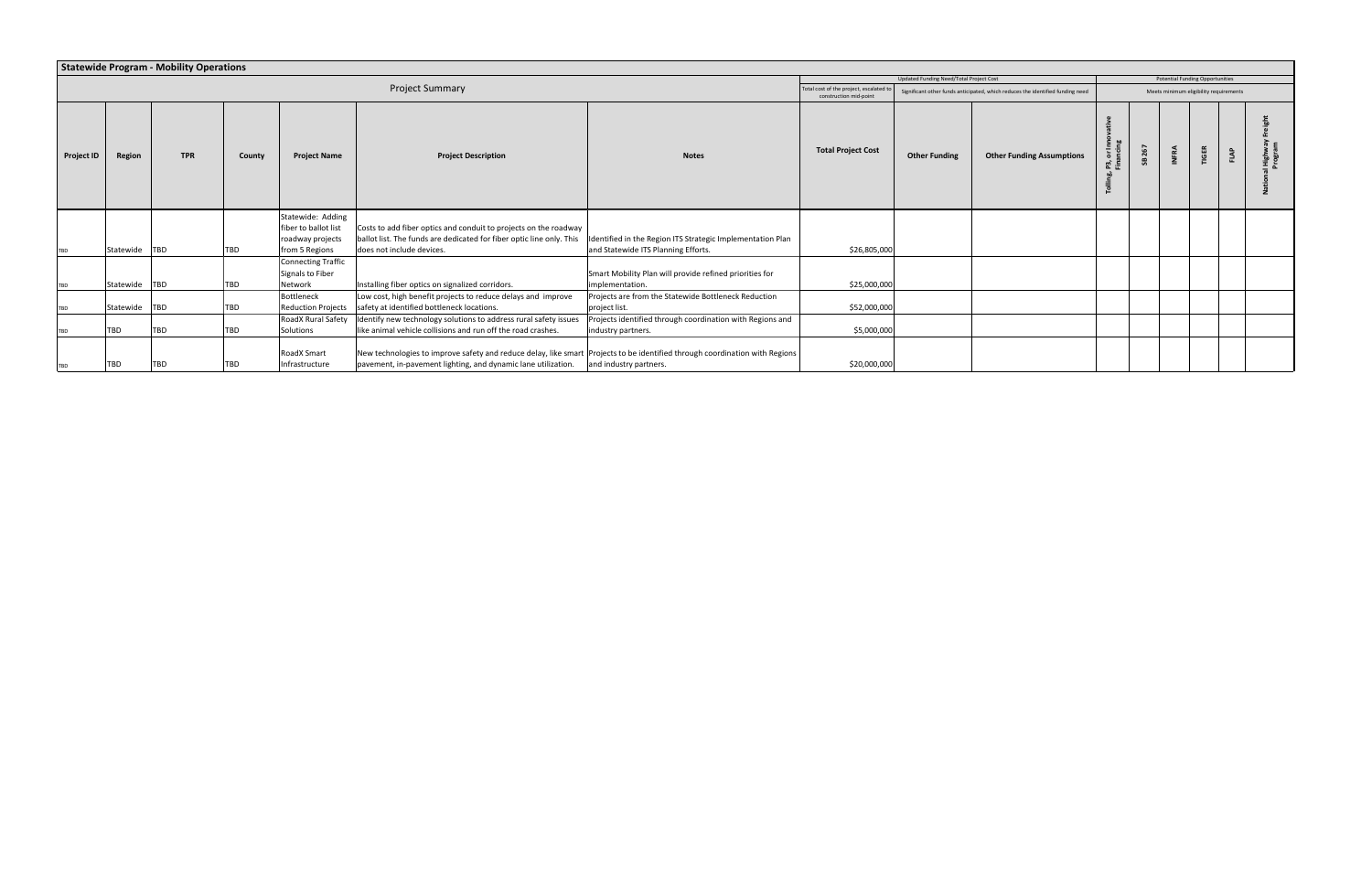|                   | <b>Statewide Program - Mobility Operations</b><br>Updated Funding Need/Total Project Cost<br><b>Potential Funding Opportunities</b> |            |            |                                           |                                                                                                                             |                                                            |                                                                |                      |                                                                                |      |     |  |                                        |      |             |
|-------------------|-------------------------------------------------------------------------------------------------------------------------------------|------------|------------|-------------------------------------------|-----------------------------------------------------------------------------------------------------------------------------|------------------------------------------------------------|----------------------------------------------------------------|----------------------|--------------------------------------------------------------------------------|------|-----|--|----------------------------------------|------|-------------|
|                   |                                                                                                                                     |            |            |                                           |                                                                                                                             |                                                            |                                                                |                      |                                                                                |      |     |  |                                        |      |             |
|                   |                                                                                                                                     |            |            |                                           | <b>Project Summary</b>                                                                                                      |                                                            | Total cost of the project, escalated<br>construction mid-point |                      | Significant other funds anticipated, which reduces the identified funding need |      |     |  | Meets minimum eligibility requirements |      |             |
| <b>Project ID</b> | Region                                                                                                                              | <b>TPR</b> | County     | <b>Project Name</b>                       | <b>Project Description</b>                                                                                                  | <b>Notes</b>                                               | <b>Total Project Cost</b>                                      | <b>Other Funding</b> | <b>Other Funding Assumptions</b>                                               | 5. 등 | 267 |  | <b>TIGER</b>                           | FLAP | Bord<br>Pio |
|                   |                                                                                                                                     |            |            | Statewide: Adding<br>fiber to ballot list | Costs to add fiber optics and conduit to projects on the roadway                                                            |                                                            |                                                                |                      |                                                                                |      |     |  |                                        |      |             |
|                   |                                                                                                                                     |            |            | roadway projects                          | ballot list. The funds are dedicated for fiber optic line only. This                                                        | Identified in the Region ITS Strategic Implementation Plan |                                                                |                      |                                                                                |      |     |  |                                        |      |             |
| <b>TBD</b>        | Statewide TBD                                                                                                                       |            | TBD        | from 5 Regions                            | does not include devices.                                                                                                   | and Statewide ITS Planning Efforts.                        | \$26,805,000                                                   |                      |                                                                                |      |     |  |                                        |      |             |
|                   |                                                                                                                                     |            |            | Connecting Traffic                        |                                                                                                                             |                                                            |                                                                |                      |                                                                                |      |     |  |                                        |      |             |
|                   |                                                                                                                                     |            |            | Signals to Fiber                          |                                                                                                                             | Smart Mobility Plan will provide refined priorities for    |                                                                |                      |                                                                                |      |     |  |                                        |      |             |
| TBD               | Statewide TBD                                                                                                                       |            | TBD        | Network                                   | Installing fiber optics on signalized corridors.                                                                            | implementation.                                            | \$25,000,000                                                   |                      |                                                                                |      |     |  |                                        |      |             |
|                   |                                                                                                                                     |            |            | Bottleneck                                | Low cost, high benefit projects to reduce delays and improve                                                                | Projects are from the Statewide Bottleneck Reduction       |                                                                |                      |                                                                                |      |     |  |                                        |      |             |
| <b>TBD</b>        | Statewide TBD                                                                                                                       |            | TBD        | Reduction Projects                        | safety at identified bottleneck locations.                                                                                  | project list                                               | \$52,000,000                                                   |                      |                                                                                |      |     |  |                                        |      |             |
|                   |                                                                                                                                     |            |            | RoadX Rural Safety                        | Identify new technology solutions to address rural safety issues                                                            | Projects identified through coordination with Regions and  |                                                                |                      |                                                                                |      |     |  |                                        |      |             |
| <b>TBD</b>        | <b>TBD</b>                                                                                                                          | TBD        | <b>TBD</b> | Solutions                                 | like animal vehicle collisions and run off the road crashes.                                                                | industry partners.                                         | \$5,000,000                                                    |                      |                                                                                |      |     |  |                                        |      |             |
|                   |                                                                                                                                     |            |            | RoadX Smart                               | New technologies to improve safety and reduce delay, like smart Projects to be identified through coordination with Regions |                                                            |                                                                |                      |                                                                                |      |     |  |                                        |      |             |
| TBD               | <b>TBD</b>                                                                                                                          | TBD        | TBD        | Infrastructure                            | pavement, in-pavement lighting, and dynamic lane utilization.                                                               | and industry partners.                                     | \$20,000,000                                                   |                      |                                                                                |      |     |  |                                        |      |             |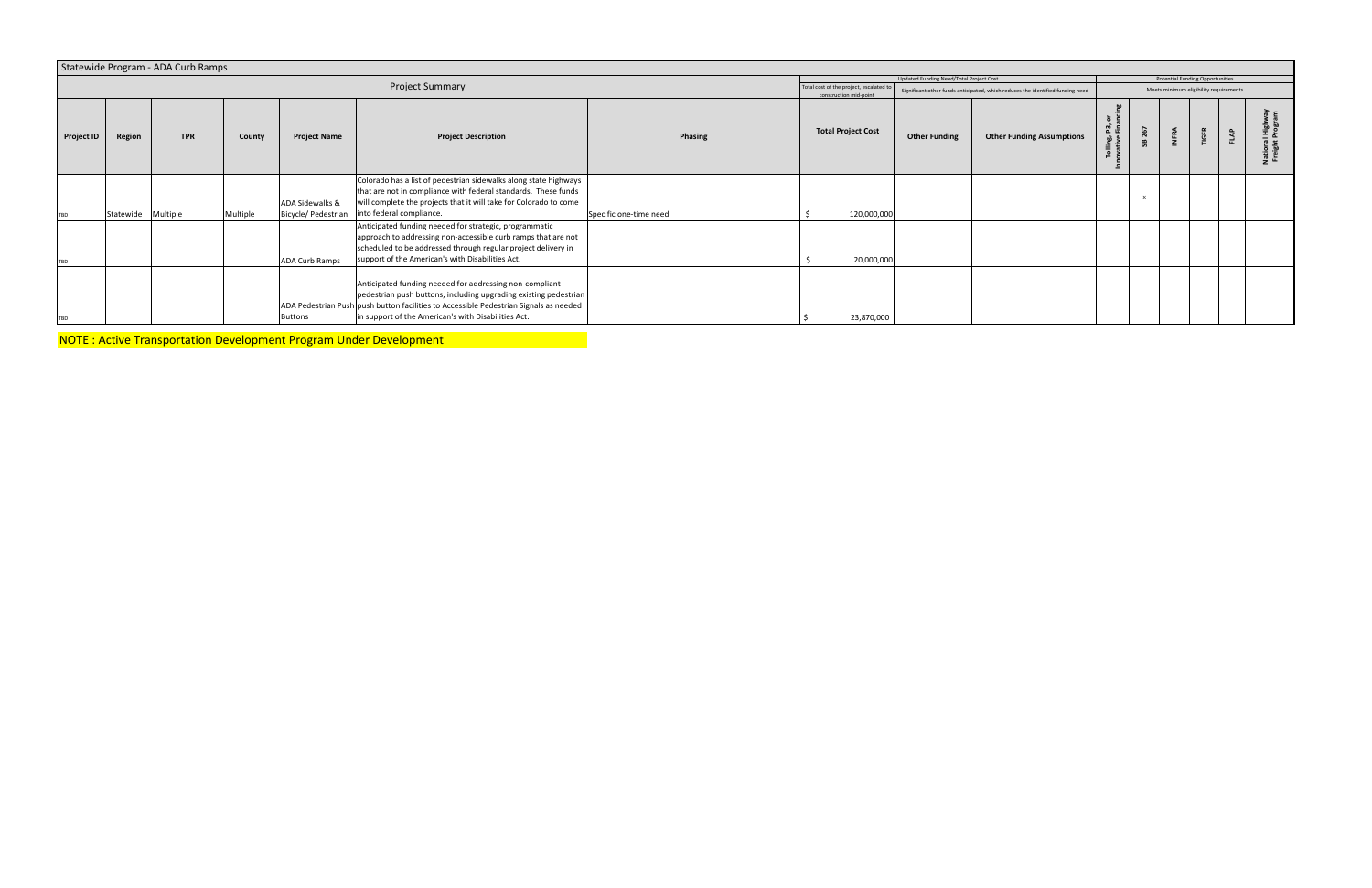|                   |                    | Statewide Program - ADA Curb Ramps |          |                       |                                                                                                                                                                                                                                                                             |                        |                                                                   |                                         |                                                                                |                  |  |                                        |  |
|-------------------|--------------------|------------------------------------|----------|-----------------------|-----------------------------------------------------------------------------------------------------------------------------------------------------------------------------------------------------------------------------------------------------------------------------|------------------------|-------------------------------------------------------------------|-----------------------------------------|--------------------------------------------------------------------------------|------------------|--|----------------------------------------|--|
|                   |                    |                                    |          |                       |                                                                                                                                                                                                                                                                             |                        |                                                                   | Updated Funding Need/Total Project Cost |                                                                                |                  |  | Potential Funding Opportunities        |  |
|                   |                    |                                    |          |                       | Project Summary                                                                                                                                                                                                                                                             |                        | Total cost of the project, escalated to<br>construction mid-point |                                         | Significant other funds anticipated, which reduces the identified funding need |                  |  | Meets minimum eligibility requirements |  |
| <b>Project ID</b> | Region             | <b>TPR</b>                         | County   | <b>Project Name</b>   | <b>Project Description</b>                                                                                                                                                                                                                                                  | Phasing                | <b>Total Project Cost</b>                                         | <b>Other Funding</b>                    | <b>Other Funding Assumptions</b>                                               | P3, or<br>Tollin |  | <b>TIGER</b>                           |  |
| TBD               | Statewide Multiple |                                    | Multiple | ADA Sidewalks &       | Colorado has a list of pedestrian sidewalks along state highways<br>that are not in compliance with federal standards. These funds<br>will complete the projects that it will take for Colorado to come<br>Bicycle/ Pedestrian   into federal compliance.                   | Specific one-time need | 120,000,000                                                       |                                         |                                                                                |                  |  |                                        |  |
| TBD               |                    |                                    |          | <b>ADA Curb Ramps</b> | Anticipated funding needed for strategic, programmatic<br>approach to addressing non-accessible curb ramps that are not<br>scheduled to be addressed through regular project delivery in<br>support of the American's with Disabilities Act.                                |                        | 20,000,000                                                        |                                         |                                                                                |                  |  |                                        |  |
| <b>TBD</b>        |                    |                                    |          | <b>Buttons</b>        | Anticipated funding needed for addressing non-compliant<br>pedestrian push buttons, including upgrading existing pedestrian<br>ADA Pedestrian Push push button facilities to Accessible Pedestrian Signals as needed<br>in support of the American's with Disabilities Act. |                        | 23,870,000                                                        |                                         |                                                                                |                  |  |                                        |  |

NOTE : Active Transportation Development Program Under Development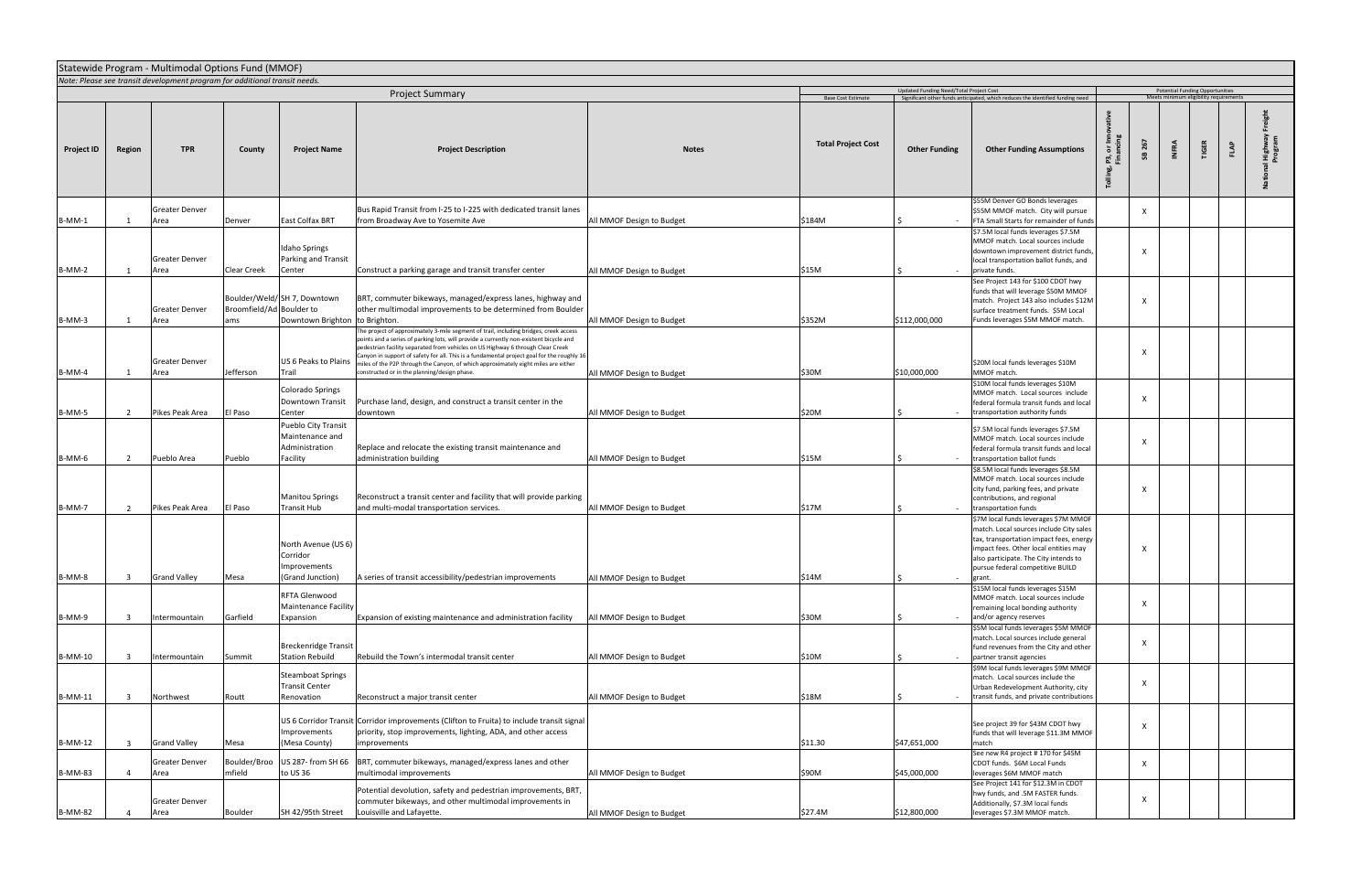|                   | Statewide Program - Multimodal Options Fund (MMOF)<br>Note: Please see transit development program for additional transit needs. |                               |                                 |                                                                      |                                                                                                                                                                                                                                                                                                                                                                                                                                                                                                       |                           |                           |                                         |                                                                                                                                                                                                                                                            |                                                                                  |                     |              |      |               |  |  |  |
|-------------------|----------------------------------------------------------------------------------------------------------------------------------|-------------------------------|---------------------------------|----------------------------------------------------------------------|-------------------------------------------------------------------------------------------------------------------------------------------------------------------------------------------------------------------------------------------------------------------------------------------------------------------------------------------------------------------------------------------------------------------------------------------------------------------------------------------------------|---------------------------|---------------------------|-----------------------------------------|------------------------------------------------------------------------------------------------------------------------------------------------------------------------------------------------------------------------------------------------------------|----------------------------------------------------------------------------------|---------------------|--------------|------|---------------|--|--|--|
|                   |                                                                                                                                  |                               |                                 |                                                                      |                                                                                                                                                                                                                                                                                                                                                                                                                                                                                                       |                           |                           |                                         |                                                                                                                                                                                                                                                            | <b>Potential Funding Opportunities</b><br>Meets minimum eligibility requirements |                     |              |      |               |  |  |  |
|                   |                                                                                                                                  |                               |                                 |                                                                      | <b>Project Summary</b>                                                                                                                                                                                                                                                                                                                                                                                                                                                                                |                           | Base Cost Estimate        | Updated Funding Need/Total Project Cost | Significant other funds anticipated, which reduces the identified funding need                                                                                                                                                                             |                                                                                  |                     |              |      |               |  |  |  |
| <b>Project ID</b> | Region                                                                                                                           | <b>TPR</b>                    | County                          | <b>Project Name</b>                                                  | <b>Project Description</b>                                                                                                                                                                                                                                                                                                                                                                                                                                                                            | <b>Notes</b>              | <b>Total Project Cost</b> | <b>Other Funding</b>                    | <b>Other Funding Assumptions</b>                                                                                                                                                                                                                           | ō<br>£6<br>ី =<br>ក្នុ                                                           | 267<br><b>INFRA</b> | <b>TIGER</b> | FLAP | High<br>Progr |  |  |  |
| B-MM-1            |                                                                                                                                  | <b>Greater Denver</b><br>Area | Denver                          | <b>East Colfax BRT</b>                                               | Bus Rapid Transit from I-25 to I-225 with dedicated transit lanes<br>from Broadway Ave to Yosemite Ave                                                                                                                                                                                                                                                                                                                                                                                                | All MMOF Design to Budget | \$184M                    |                                         | \$55M Denver GO Bonds leverages<br>\$55M MMOF match. City will pursue<br>FTA Small Starts for remainder of funds                                                                                                                                           | $\boldsymbol{\mathsf{X}}$                                                        |                     |              |      |               |  |  |  |
| $B-MM-2$          |                                                                                                                                  | <b>Greater Denver</b><br>Area | Clear Creek                     | <b>Idaho Springs</b><br>Parking and Transit<br>Center                | Construct a parking garage and transit transfer center                                                                                                                                                                                                                                                                                                                                                                                                                                                | All MMOF Design to Budget | \$15M                     |                                         | \$7.5M local funds leverages \$7.5M<br>MMOF match. Local sources include<br>downtown improvement district funds,<br>local transportation ballot funds, and<br>private funds.                                                                               | $\boldsymbol{\mathsf{x}}$                                                        |                     |              |      |               |  |  |  |
| B-MM-3            | 1                                                                                                                                | <b>Greater Denver</b><br>Area | Broomfield/Ad Boulder to<br>ams | Boulder/Weld/SH 7, Downtown<br>Downtown Brighton to Brighton.        | BRT, commuter bikeways, managed/express lanes, highway and<br>other multimodal improvements to be determined from Boulder                                                                                                                                                                                                                                                                                                                                                                             | All MMOF Design to Budget | \$352M                    | \$112,000,000                           | See Project 143 for \$100 CDOT hwy<br>funds that will leverage \$50M MMOF<br>match. Project 143 also includes \$12M<br>surface treatment funds. \$5M Local<br>Funds leverages \$5M MMOF match.                                                             | $\boldsymbol{\mathsf{x}}$                                                        |                     |              |      |               |  |  |  |
| $B-MM-4$          | 1                                                                                                                                | <b>Greater Denver</b><br>Area | Jefferson                       | US 6 Peaks to Plains<br>Trail                                        | The project of approximately 3-mile segment of trail, including bridges, creek access<br>ooints and a series of parking lots, will provide a currently non-existent bicycle and<br>bedestrian facility separated from vehicles on US Highway 6 through Clear Creek<br>Canyon in support of safety for all. This is a fundamental project goal for the roughly 16<br>niles of the P2P through the Canyon, of which approximately eight miles are either<br>onstructed or in the planning/design phase. | All MMOF Design to Budget | \$30M                     | \$10,000,000                            | \$20M local funds leverages \$10M<br>MMOF match.<br>\$10M local funds leverages \$10M                                                                                                                                                                      | $\boldsymbol{\mathsf{x}}$                                                        |                     |              |      |               |  |  |  |
| B-MM-5            | $\overline{2}$                                                                                                                   | Pikes Peak Area               | El Paso                         | Colorado Springs<br>Downtown Transit<br>Center                       | Purchase land, design, and construct a transit center in the<br>downtown                                                                                                                                                                                                                                                                                                                                                                                                                              | All MMOF Design to Budget | \$20M                     | $\sim$                                  | MMOF match. Local sources include<br>federal formula transit funds and local<br>transportation authority funds                                                                                                                                             | $\boldsymbol{\mathsf{x}}$                                                        |                     |              |      |               |  |  |  |
| B-MM-6            | $\overline{2}$                                                                                                                   | Pueblo Area                   | Pueblo                          | Pueblo City Transit<br>Maintenance and<br>Administration<br>Facility | Replace and relocate the existing transit maintenance and<br>administration building                                                                                                                                                                                                                                                                                                                                                                                                                  | All MMOF Design to Budget | \$15M                     |                                         | \$7.5M local funds leverages \$7.5M<br>MMOF match. Local sources include<br>federal formula transit funds and local<br>transportation ballot funds                                                                                                         | $\boldsymbol{\mathsf{x}}$                                                        |                     |              |      |               |  |  |  |
| <b>B-MM-7</b>     | 2                                                                                                                                | Pikes Peak Area               | El Paso                         | <b>Manitou Springs</b><br><b>Transit Hub</b>                         | Reconstruct a transit center and facility that will provide parking<br>and multi-modal transportation services.                                                                                                                                                                                                                                                                                                                                                                                       | All MMOF Design to Budget | \$17M                     | $\sim$                                  | \$8.5M local funds leverages \$8.5M<br>MMOF match. Local sources include<br>city fund, parking fees, and private<br>contributions, and regional<br>transportation funds                                                                                    | $\boldsymbol{\mathsf{x}}$                                                        |                     |              |      |               |  |  |  |
| B-MM-8            | $\overline{\mathbf{3}}$                                                                                                          | <b>Grand Valley</b>           | Mesa                            | North Avenue (US 6)<br>Corridor<br>Improvements<br>(Grand Junction)  | A series of transit accessibility/pedestrian improvements                                                                                                                                                                                                                                                                                                                                                                                                                                             | All MMOF Design to Budget | \$14M                     |                                         | \$7M local funds leverages \$7M MMOF<br>match. Local sources include City sales<br>tax, transportation impact fees, energy<br>impact fees. Other local entities may<br>also participate. The City intends to<br>pursue federal competitive BUILD<br>grant. | X                                                                                |                     |              |      |               |  |  |  |
| B-MM-9            | - 3                                                                                                                              | Intermountain                 | Garfield                        | RFTA Glenwood<br><b>Maintenance Facility</b><br>Expansion            | Expansion of existing maintenance and administration facility                                                                                                                                                                                                                                                                                                                                                                                                                                         | All MMOF Design to Budget | \$30M                     |                                         | \$15M local funds leverages \$15M<br>MMOF match. Local sources include<br>remaining local bonding authority<br>and/or agency reserves                                                                                                                      | $\boldsymbol{\mathsf{X}}$                                                        |                     |              |      |               |  |  |  |
| <b>B-MM-10</b>    | $\overline{\mathbf{3}}$                                                                                                          | Intermountain                 | Summit                          | <b>Breckenridge Transit</b><br><b>Station Rebuild</b>                | Rebuild the Town's intermodal transit center                                                                                                                                                                                                                                                                                                                                                                                                                                                          | All MMOF Design to Budget | \$10M                     |                                         | \$5M local funds leverages \$5M MMOF<br>match. Local sources include general<br>fund revenues from the City and other<br>partner transit agencies<br>\$9M local funds leverages \$9M MMOF                                                                  | $\boldsymbol{\mathsf{x}}$                                                        |                     |              |      |               |  |  |  |
| <b>B-MM-11</b>    | $\overline{\mathbf{3}}$                                                                                                          | Northwest                     | Routt                           | <b>Steamboat Springs</b><br><b>Transit Center</b><br>Renovation      | Reconstruct a major transit center                                                                                                                                                                                                                                                                                                                                                                                                                                                                    | All MMOF Design to Budget | \$18M                     | $\sim$                                  | match. Local sources include the<br>Urban Redevelopment Authority, city<br>transit funds, and private contributions                                                                                                                                        | X                                                                                |                     |              |      |               |  |  |  |
| B-MM-12           | $\overline{\mathbf{3}}$                                                                                                          | <b>Grand Valley</b>           | Mesa                            | Improvements<br>(Mesa County)                                        | US 6 Corridor Transit Corridor improvements (Clifton to Fruita) to include transit signal<br>priority, stop improvements, lighting, ADA, and other access<br>improvements                                                                                                                                                                                                                                                                                                                             |                           | \$11.30                   | \$47,651,000                            | See project 39 for \$43M CDOT hwy<br>funds that will leverage \$11.3M MMOF<br>match                                                                                                                                                                        | $\boldsymbol{\mathsf{X}}$                                                        |                     |              |      |               |  |  |  |
| <b>B-MM-83</b>    |                                                                                                                                  | <b>Greater Denver</b><br>Area | Boulder/Broo<br>mfield          | US 287- from SH 66<br>to US 36                                       | BRT, commuter bikeways, managed/express lanes and other<br>multimodal improvements                                                                                                                                                                                                                                                                                                                                                                                                                    | All MMOF Design to Budget | \$90M                     | \$45,000,000                            | See new R4 project # 170 for \$45M<br>CDOT funds. \$6M Local Funds<br>leverages \$6M MMOF match<br>See Project 141 for \$12.3M in CDOT                                                                                                                     |                                                                                  | $\mathsf{x}$        |              |      |               |  |  |  |
| <b>B-MM-82</b>    |                                                                                                                                  | <b>Greater Denver</b><br>Area | Boulder                         | SH 42/95th Street                                                    | Potential devolution, safety and pedestrian improvements, BRT,<br>commuter bikeways, and other multimodal improvements in<br>Louisville and Lafayette.                                                                                                                                                                                                                                                                                                                                                | All MMOF Design to Budget | \$27.4M                   | \$12,800,000                            | hwy funds, and .5M FASTER funds.<br>Additionally, \$7.3M local funds<br>leverages \$7.3M MMOF match.                                                                                                                                                       | X                                                                                |                     |              |      |               |  |  |  |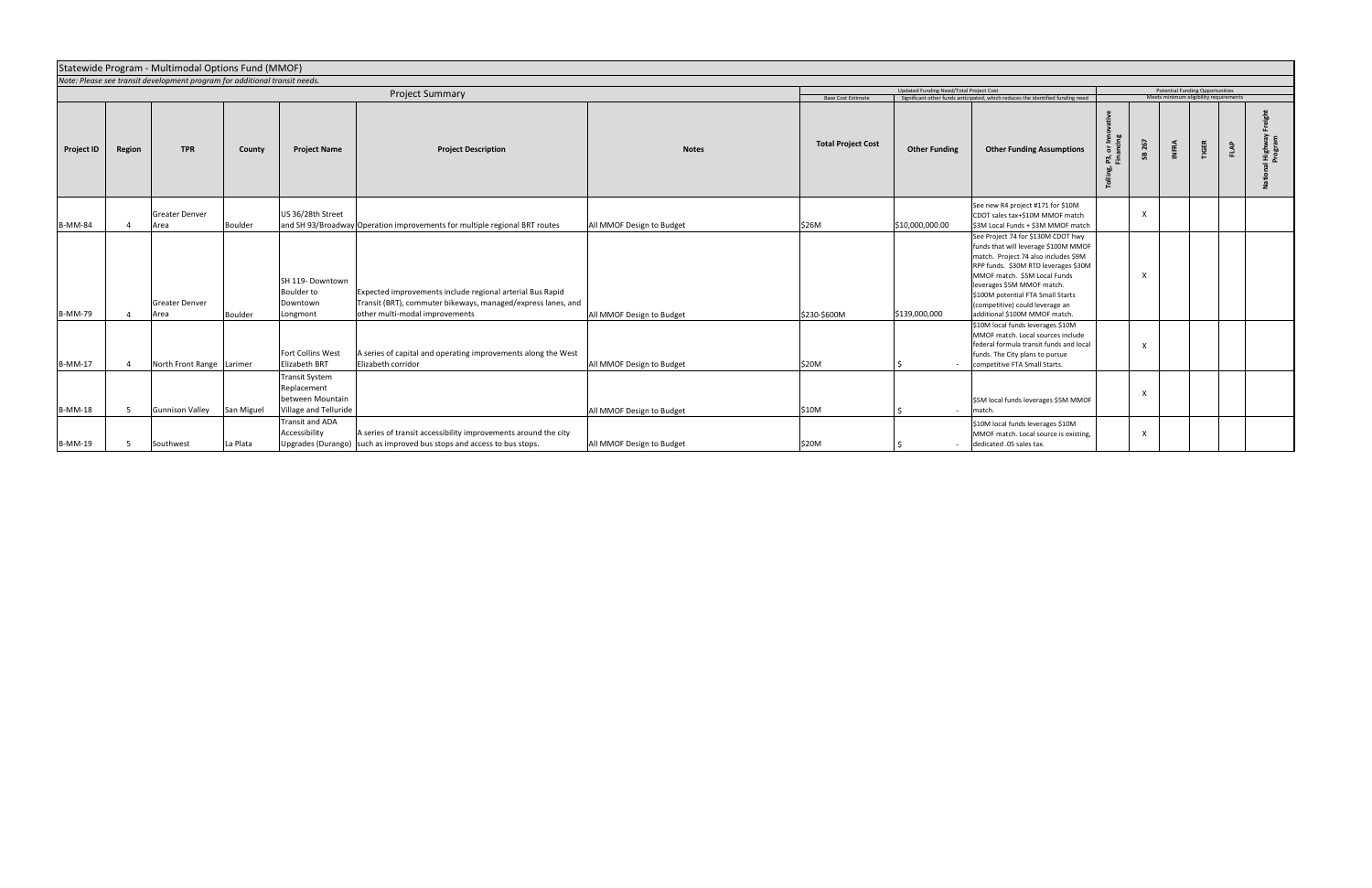|                   |        | Statewide Program - Multimodal Options Fund (MMOF)                         |                |                                                                                   |                                                                                                                                                             |                           |                           |                                         |                                                                                                                                                                                                                                                                                                                                   |        |     |              |                                                                                  |      |          |
|-------------------|--------|----------------------------------------------------------------------------|----------------|-----------------------------------------------------------------------------------|-------------------------------------------------------------------------------------------------------------------------------------------------------------|---------------------------|---------------------------|-----------------------------------------|-----------------------------------------------------------------------------------------------------------------------------------------------------------------------------------------------------------------------------------------------------------------------------------------------------------------------------------|--------|-----|--------------|----------------------------------------------------------------------------------|------|----------|
|                   |        | Note: Please see transit development program for additional transit needs. |                |                                                                                   |                                                                                                                                                             |                           |                           |                                         |                                                                                                                                                                                                                                                                                                                                   |        |     |              |                                                                                  |      |          |
|                   |        |                                                                            |                |                                                                                   | Project Summary                                                                                                                                             |                           |                           | Updated Funding Need/Total Project Cost | Significant other funds anticipated, which reduces the identified funding need                                                                                                                                                                                                                                                    |        |     |              | <b>Potential Funding Opportunities</b><br>Meets minimum eligibility requirements |      |          |
|                   |        |                                                                            |                |                                                                                   |                                                                                                                                                             |                           | <b>Base Cost Estimate</b> |                                         |                                                                                                                                                                                                                                                                                                                                   |        |     |              |                                                                                  |      |          |
| <b>Project ID</b> | Region | <b>TPR</b>                                                                 | County         | <b>Project Name</b>                                                               | <b>Project Description</b>                                                                                                                                  | <b>Notes</b>              | <b>Total Project Cost</b> | <b>Other Funding</b>                    | <b>Other Funding Assumptions</b>                                                                                                                                                                                                                                                                                                  | ድ<br>ቺ | 267 | <b>INFRA</b> | <b>TIGER</b>                                                                     | FLAP | 명하<br>나한 |
| <b>B-MM-84</b>    |        | <b>Greater Denver</b><br>Area                                              | <b>Boulder</b> | US 36/28th Street                                                                 | and SH 93/Broadway Operation improvements for multiple regional BRT routes                                                                                  | All MMOF Design to Budget | \$26M                     | \$10,000,000.00                         | See new R4 project #171 for \$10M<br>CDOT sales tax+\$10M MMOF match<br>\$3M Local Funds + \$3M MMOF match                                                                                                                                                                                                                        |        |     |              |                                                                                  |      |          |
| <b>B-MM-79</b>    |        | <b>Greater Denver</b><br>Area                                              | <b>Boulder</b> | SH 119- Downtown<br><b>Boulder to</b><br>Downtown<br>Longmont                     | Expected improvements include regional arterial Bus Rapid<br>Transit (BRT), commuter bikeways, managed/express lanes, and<br>other multi-modal improvements | All MMOF Design to Budget | \$230-\$600M              | \$139,000,000                           | See Project 74 for \$130M CDOT hwy<br>funds that will leverage \$100M MMOF<br>match. Project 74 also includes \$9M<br>RPP funds. \$30M RTD leverages \$30M<br>MMOF match. \$5M Local Funds<br>leverages \$5M MMOF match.<br>\$100M potential FTA Small Starts<br>(competitive) could leverage an<br>additional \$100M MMOF match. |        | X   |              |                                                                                  |      |          |
| <b>B-MM-17</b>    |        | North Front Range Larimer                                                  |                | <b>Fort Collins West</b><br><b>Elizabeth BRT</b>                                  | A series of capital and operating improvements along the West<br>Elizabeth corridor                                                                         | All MMOF Design to Budget | \$20M                     |                                         | \$10M local funds leverages \$10M<br>MMOF match. Local sources include<br>federal formula transit funds and local<br>funds. The City plans to pursue<br>competitive FTA Small Starts.                                                                                                                                             |        | X   |              |                                                                                  |      |          |
| <b>B-MM-18</b>    | - 5    | <b>Gunnison Valley</b>                                                     | San Miguel     | <b>Transit System</b><br>Replacement<br>between Mountain<br>Village and Telluride |                                                                                                                                                             | All MMOF Design to Budget | \$10M                     | $\sim$                                  | \$5M local funds leverages \$5M MMOF<br>match.                                                                                                                                                                                                                                                                                    |        |     |              |                                                                                  |      |          |
| <b>B-MM-19</b>    |        | Southwest                                                                  | La Plata       | <b>Transit and ADA</b><br>Accessibility                                           | A series of transit accessibility improvements around the city<br>Upgrades (Durango) such as improved bus stops and access to bus stops.                    | All MMOF Design to Budget | \$20M                     |                                         | \$10M local funds leverages \$10M<br>MMOF match. Local source is existing,<br>dedicated .05 sales tax.                                                                                                                                                                                                                            |        | X   |              |                                                                                  |      |          |